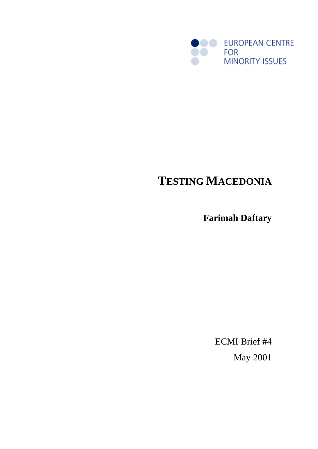

# **TESTING MACEDONIA**

**Farimah Daftary**

ECMI Brief #4 May 2001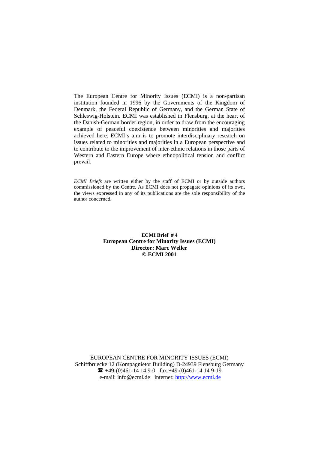The European Centre for Minority Issues (ECMI) is a non-partisan institution founded in 1996 by the Governments of the Kingdom of Denmark, the Federal Republic of Germany, and the German State of Schleswig-Holstein. ECMI was established in Flensburg, at the heart of the Danish-German border region, in order to draw from the encouraging example of peaceful coexistence between minorities and majorities achieved here. ECMI's aim is to promote interdisciplinary research on issues related to minorities and majorities in a European perspective and to contribute to the improvement of inter-ethnic relations in those parts of Western and Eastern Europe where ethnopolitical tension and conflict prevail.

*ECMI Briefs* are written either by the staff of ECMI or by outside authors commissioned by the Centre. As ECMI does not propagate opinions of its own, the views expressed in any of its publications are the sole responsibility of the author concerned.

> **ECMI Brief # 4 European Centre for Minority Issues (ECMI) Director: Marc Weller © ECMI 2001**

EUROPEAN CENTRE FOR MINORITY ISSUES (ECMI) Schiffbruecke 12 (Kompagnietor Building) D-24939 Flensburg Germany  $\bullet$  +49-(0)461-14 14 9-0 fax +49-(0)461-14 14 9-19 e-mail: info@ecmi.de internet: http://www.ecmi.de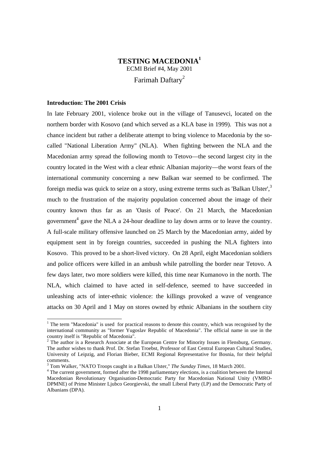# **TESTING MACEDONIA<sup>1</sup>** ECMI Brief #4, May 2001 Farimah Daftary<sup>2</sup>

## **Introduction: The 2001 Crisis**

1

In late February 2001, violence broke out in the village of Tanusevci, located on the northern border with Kosovo (and which served as a KLA base in 1999). This was not a chance incident but rather a deliberate attempt to bring violence to Macedonia by the socalled "National Liberation Army" (NLA). When fighting between the NLA and the Macedonian army spread the following month to Tetovo—the second largest city in the country located in the West with a clear ethnic Albanian majority—the worst fears of the international community concerning a new Balkan war seemed to be confirmed. The foreign media was quick to seize on a story, using extreme terms such as 'Balkan Ulster',<sup>3</sup> much to the frustration of the majority population concerned about the image of their country known thus far as an 'Oasis of Peace'. On 21 March, the Macedonian government<sup>4</sup> gave the NLA a 24-hour deadline to lay down arms or to leave the country. A full-scale military offensive launched on 25 March by the Macedonian army, aided by equipment sent in by foreign countries, succeeded in pushing the NLA fighters into Kosovo. This proved to be a short-lived victory. On 28 April, eight Macedonian soldiers and police officers were killed in an ambush while patrolling the border near Tetovo. A few days later, two more soldiers were killed, this time near Kumanovo in the north. The NLA, which claimed to have acted in self-defence, seemed to have succeeded in unleashing acts of inter-ethnic violence: the killings provoked a wave of vengeance attacks on 30 April and 1 May on stores owned by ethnic Albanians in the southern city

<sup>&</sup>lt;sup>1</sup> The term "Macedonia" is used for practical reasons to denote this country, which was recognised by the international community as "former Yugoslav Republic of Macedonia". The official name in use in the country itself is "Republic of Macedonia".

 $2$  The author is a Research Associate at the European Centre for Minority Issues in Flensburg, Germany. The author wishes to thank Prof. Dr. Stefan Troebst, Professor of East Central European Cultural Studies, University of Leipzig, and Florian Bieber, ECMI Regional Representative for Bosnia, for their helpful comments.

<sup>3</sup> Tom Walker, "NATO Troops caught in a Balkan Ulster," *The Sunday Times*, 18 March 2001.

<sup>&</sup>lt;sup>4</sup> The current government, formed after the 1998 parliamentary elections, is a coalition between the Internal Macedonian Revolutionary Organisation-Democratic Party for Macedonian National Unity (VMRO-DPMNE) of Prime Minister Ljubco Georgievski, the small Liberal Party (LP) and the Democratic Party of Albanians (DPA).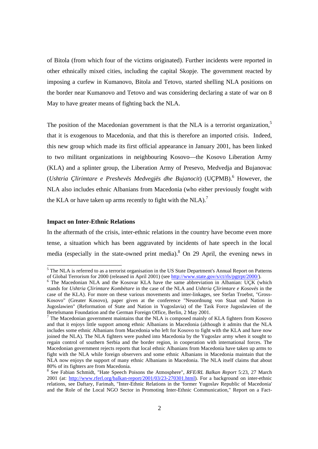of Bitola (from which four of the victims originated). Further incidents were reported in other ethnically mixed cities, including the capital Skopje. The government reacted by imposing a curfew in Kumanovo, Bitola and Tetovo, started shelling NLA positions on the border near Kumanovo and Tetovo and was considering declaring a state of war on 8 May to have greater means of fighting back the NLA.

The position of the Macedonian government is that the NLA is a terrorist organization.<sup>5</sup> that it is exogenous to Macedonia, and that this is therefore an imported crisis. Indeed, this new group which made its first official appearance in January 2001, has been linked to two militant organizations in neighbouring Kosovo—the Kosovo Liberation Army (KLA) and a splinter group, the Liberation Army of Presevo, Medvedja and Bujanovac (Ushtria Çlirimtare e Preshevës Medvegjës dhe Bujanocit) (UÇPMB).<sup>6</sup> However, the NLA also includes ethnic Albanians from Macedonia (who either previously fought with the KLA or have taken up arms recently to fight with the  $NLA$ ).<sup>7</sup>

#### **Impact on Inter-Ethnic Relations**

1

In the aftermath of the crisis, inter-ethnic relations in the country have become even more tense, a situation which has been aggravated by incidents of hate speech in the local media (especially in the state-owned print media). <sup>8</sup> On 29 April, the evening news in

<sup>&</sup>lt;sup>5</sup> The NLA is referred to as a terrorist organisation in the US State Department's Annual Report on Patterns of Global Terrorism for 2000 (released in April 2001) (see http://www.state.gov/s/ct/rls/pgtrpt/2000/).

<sup>&</sup>lt;sup>6</sup> The Macedonian NLA and the Kosovar KLA have the same abbreviation in Albanian: UÇK (which stands for *Ushtria Çlirimtare Kombëtare* in the case of the NLA and *Ushtria Çlirimtare e Kosovës* in the case of the KLA). For more on these various movements and inter-linkages, see Stefan Troebst, "Gross-Kosovo" (Greater Kosovo), paper given at the conference "Neuordnung von Staat und Nation in Jugoslawien" (Reformation of State and Nation in Yugoslavia) of the Task Force Jugoslawien of the Bertelsmann Foundation and the German Foreign Office, Berlin, 2 May 2001.

<sup>7</sup> The Macedonian government maintains that the NLA is composed mainly of KLA fighters from Kosovo and that it enjoys little support among ethnic Albanians in Macedonia (although it admits that the NLA includes some ethnic Albanians from Macedonia who left for Kosovo to fight with the KLA and have now joined the NLA). The NLA fighters were pushed into Macedonia by the Yugoslav army when it sought to regain control of southern Serbia and the border region, in cooperation with international forces. The Macedonian government rejects reports that local ethnic Albanians from Macedonia have taken up arms to fight with the NLA while foreign observers and some ethnic Albanians in Macedonia maintain that the NLA now enjoys the support of many ethnic Albanians in Macedonia. The NLA itself claims that about 80% of its fighters are from Macedonia.

<sup>8</sup> See Fabian Schmidt, "Hate Speech Poisons the Atmosphere", *RFE/RL Balkan Report* 5:23, 27 March 2001 (at: http://www.rferl.org/balkan-report/2001/03/23-270301.html). For a background on inter-ethnic relations, see Daftary, Farimah, "Inter-Ethnic Relations in the 'former Yugoslav Republic of Macedonia' and the Role of the Local NGO Sector in Promoting Inter-Ethnic Communication," Report on a Fact-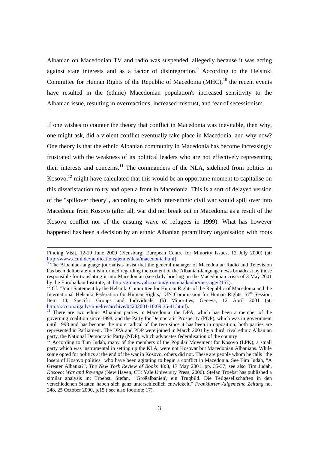Albanian on Macedonian TV and radio was suspended, allegedly because it was acting against state interests and as a factor of disintegration.<sup>9</sup> According to the Helsinki Committee for Human Rights of the Republic of Macedonia  $(MHC)$ ,<sup>10</sup> the recent events have resulted in the (ethnic) Macedonian population's increased sensitivity to the Albanian issue, resulting in overreactions, increased mistrust, and fear of secessionism.

If one wishes to counter the theory that conflict in Macedonia was inevitable, then why, one might ask, did a violent conflict eventually take place in Macedonia, and why now? One theory is that the ethnic Albanian community in Macedonia has become increasingly frustrated with the weakness of its political leaders who are not effectively representing their interests and concerns.<sup>11</sup> The commanders of the NLA, sidelined from politics in Kosovo,  $^{12}$  might have calculated that this would be an opportune moment to capitalise on this dissatisfaction to try and open a front in Macedonia. This is a sort of delayed version of the "spillover theory", according to which inter-ethnic civil war would spill over into Macedonia from Kosovo (after all, war did not break out in Macedonia as a result of the Kosovo conflict nor of the ensuing wave of refugees in 1999). What has however happened has been a decision by an ethnic Albanian paramilitary organisation with roots

l

Finding Visit, 12-19 June 2000 (Flensburg: European Centre for Minority Issues, 12 July 2000) (at: http://www.ecmi.de/publications/jemie/data/macedonia.html).

<sup>&</sup>lt;sup>9</sup> The Albanian-language journalists insist that the general manager of Macedonian Radio and Television has been deliberately misinformed regarding the content of the Albanian-language news broadcast by those responsible for translating it into Macedonian (see daily briefing on the Macedonian crisis of 3 May 2001 by the Eurobalkan Institute, at: http://groups.yahoo.com/group/balkanhr/message/2157).

 $10$  Cf. "Joint Statement by the Helsinki Committee for Human Rights of the Republic of Macedonia and the International Helsinki Federation for Human Rights," UN Commission for Human Rights, 57<sup>th</sup> Session, Item 14, Specific Groups and Individuals, (b) Minorities, Geneva, 12 April 2001 (at: http://racoon.riga.lv/minelres/archive/04202001-10:09:35-41.html).

<sup>&</sup>lt;sup>11</sup> There are two ethnic Albanian parties in Macedonia: the DPA, which has been a member of the governing coalition since 1998, and the Party for Democratic Prosperity (PDP), which was in government until 1998 and has become the more radical of the two since it has been in opposition; both parties are represented in Parliament. The DPA and PDP were joined in March 2001 by a third, rival ethnic Albanian party, the National Democratic Party (NDP), which advocates federalisation of the country

<sup>12</sup> According to Tim Judah, many of the members of the Popular Movement for Kosovo (LPK), a small party which was instrumental in setting up the KLA, were not Kosovar but Macedonian Albanians. While some opted for politics at the end of the war in Kosovo, others did not. These are people whom he calls "the losers of Kosovo politics" who have been agitating to begin a conflict in Macedonia. See Tim Judah, "A Greater Albania?", *The New York Review of Books* 48:8, 17 May 2001, pp. 35-37; see also Tim Judah, *Kosovo: War and Revenge* (New Haven, CT: Yale University Press, 2000). Stefan Troebst has published a similar analysis in: Troebst, Stefan, "'Großalbanien', ein Trugbild. Die Teilgesellschaften in den verschiedenen Staaten haben sich ganz unterschiedlich entwickelt," *Frankfurter Allgemeine Zeitung* no. 248, 25 October 2000, p.15 ( see also footnote 17).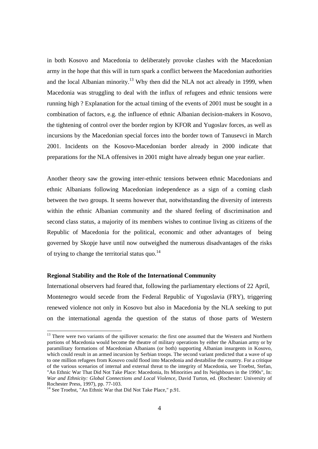in both Kosovo and Macedonia to deliberately provoke clashes with the Macedonian army in the hope that this will in turn spark a conflict between the Macedonian authorities and the local Albanian minority.<sup>13</sup> Why then did the NLA not act already in 1999, when Macedonia was struggling to deal with the influx of refugees and ethnic tensions were running high ? Explanation for the actual timing of the events of 2001 must be sought in a combination of factors, e.g. the influence of ethnic Albanian decision-makers in Kosovo, the tightening of control over the border region by KFOR and Yugoslav forces, as well as incursions by the Macedonian special forces into the border town of Tanusevci in March 2001. Incidents on the Kosovo-Macedonian border already in 2000 indicate that preparations for the NLA offensives in 2001 might have already begun one year earlier.

Another theory saw the growing inter-ethnic tensions between ethnic Macedonians and ethnic Albanians following Macedonian independence as a sign of a coming clash between the two groups. It seems however that, notwithstanding the diversity of interests within the ethnic Albanian community and the shared feeling of discrimination and second class status, a majority of its members wishes to continue living as citizens of the Republic of Macedonia for the political, economic and other advantages of being governed by Skopje have until now outweighed the numerous disadvantages of the risks of trying to change the territorial status quo.<sup>14</sup>

#### **Regional Stability and the Role of the International Community**

International observers had feared that, following the parliamentary elections of 22 April, Montenegro would secede from the Federal Republic of Yugoslavia (FRY), triggering renewed violence not only in Kosovo but also in Macedonia by the NLA seeking to put on the international agenda the question of the status of those parts of Western

1

<sup>&</sup>lt;sup>13</sup> There were two variants of the spillover scenario: the first one assumed that the Western and Northern portions of Macedonia would become the theatre of military operations by either the Albanian army or by paramilitary formations of Macedonian Albanians (or both) supporting Albanian insurgents in Kosovo, which could result in an armed incursion by Serbian troops. The second variant predicted that a wave of up to one million refugees from Kosovo could flood into Macedonia and destabilise the country. For a critique of the various scenarios of internal and external threat to the integrity of Macedonia, see Troebst, Stefan, "An Ethnic War That Did Not Take Place: Macedonia, Its Minorities and Its Neighbours in the 1990s", In: *War and Ethnicity: Global Connections and Local Violence*, David Turton, ed. (Rochester: University of Rochester Press, 1997), pp. 77-103.

<sup>&</sup>lt;sup>14</sup> See Troebst, "An Ethnic War that Did Not Take Place," p.91.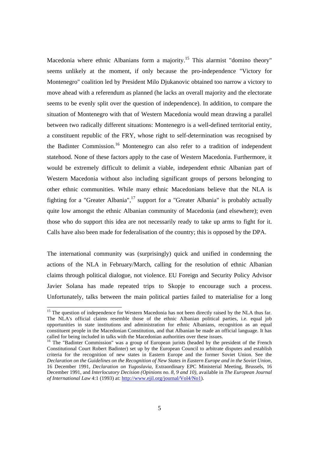Macedonia where ethnic Albanians form a majority.<sup>15</sup> This alarmist "domino theory" seems unlikely at the moment, if only because the pro-independence "Victory for Montenegro" coalition led by President Milo Djukanovic obtained too narrow a victory to move ahead with a referendum as planned (he lacks an overall majority and the electorate seems to be evenly split over the question of independence). In addition, to compare the situation of Montenegro with that of Western Macedonia would mean drawing a parallel between two radically different situations: Montenegro is a well-defined territorial entity, a constituent republic of the FRY, whose right to self-determination was recognised by the Badinter Commission.<sup>16</sup> Montenegro can also refer to a tradition of independent statehood. None of these factors apply to the case of Western Macedonia. Furthermore, it would be extremely difficult to delimit a viable, independent ethnic Albanian part of Western Macedonia without also including significant groups of persons belonging to other ethnic communities. While many ethnic Macedonians believe that the NLA is fighting for a "Greater Albania",<sup>17</sup> support for a "Greater Albania" is probably actually quite low amongst the ethnic Albanian community of Macedonia (and elsewhere); even those who do support this idea are not necessarily ready to take up arms to fight for it. Calls have also been made for federalisation of the country; this is opposed by the DPA.

The international community was (surprisingly) quick and unified in condemning the actions of the NLA in February/March, calling for the resolution of ethnic Albanian claims through political dialogue, not violence. EU Foreign and Security Policy Advisor Javier Solana has made repeated trips to Skopje to encourage such a process. Unfortunately, talks between the main political parties failed to materialise for a long

1

<sup>&</sup>lt;sup>15</sup> The question of independence for Western Macedonia has not been directly raised by the NLA thus far. The NLA's official claims resemble those of the ethnic Albanian political parties, i.e. equal job opportunities in state institutions and administration for ethnic Albanians, recognition as an equal constituent people in the Macedonian Constitution, and that Albanian be made an official language. It has called for being included in talks with the Macedonian authorities over these issues.

<sup>&</sup>lt;sup>16</sup> The "Badinter Commission" was a group of European jurists (headed by the president of the French Constitutional Court Robert Badinter) set up by the European Council to arbitrate disputes and establish criteria for the recognition of new states in Eastern Europe and the former Soviet Union. See the *Declaration on the Guidelines on the Recognition of New States in Eastern Europe and in the Soviet Union*, 16 December 1991, *Declaration on Yugoslavia*, Extraordinary EPC Ministerial Meeting, Brussels, 16 December 1991, and *Interlocutory Decision (Opinions no. 8, 9 and 10)*, available in *The European Journal of International Law* 4:1 (1993) at: http://www.ejil.org/journal/Vol4/No1).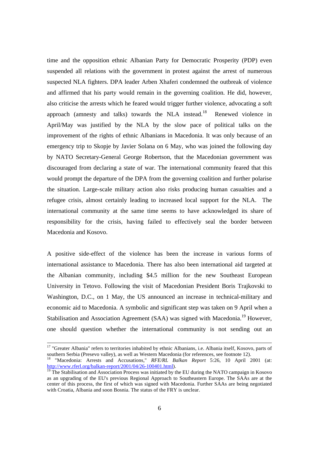time and the opposition ethnic Albanian Party for Democratic Prosperity (PDP) even suspended all relations with the government in protest against the arrest of numerous suspected NLA fighters. DPA leader Arben Xhaferi condemned the outbreak of violence and affirmed that his party would remain in the governing coalition. He did, however, also criticise the arrests which he feared would trigger further violence, advocating a soft approach (amnesty and talks) towards the NLA instead.<sup>18</sup> Renewed violence in April/May was justified by the NLA by the slow pace of political talks on the improvement of the rights of ethnic Albanians in Macedonia. It was only because of an emergency trip to Skopje by Javier Solana on 6 May, who was joined the following day by NATO Secretary-General George Robertson, that the Macedonian government was discouraged from declaring a state of war. The international community feared that this would prompt the departure of the DPA from the governing coalition and further polarise the situation. Large-scale military action also risks producing human casualties and a refugee crisis, almost certainly leading to increased local support for the NLA. The international community at the same time seems to have acknowledged its share of responsibility for the crisis, having failed to effectively seal the border between Macedonia and Kosovo.

A positive side-effect of the violence has been the increase in various forms of international assistance to Macedonia. There has also been international aid targeted at the Albanian community, including \$4.5 million for the new Southeast European University in Tetovo. Following the visit of Macedonian President Boris Trajkovski to Washington, D.C., on 1 May, the US announced an increase in technical-military and economic aid to Macedonia. A symbolic and significant step was taken on 9 April when a Stabilisation and Association Agreement (SAA) was signed with Macedonia.<sup>19</sup> However, one should question whether the international community is not sending out an

l

<sup>&</sup>lt;sup>17</sup> "Greater Albania" refers to territories inhabited by ethnic Albanians, i.e. Albania itself, Kosovo, parts of southern Serbia (Presevo valley), as well as Western Macedonia (for references, see footnote 12).

<sup>18</sup> "Macedonia: Arrests and Accusations," *RFE/RL Balkan Report* 5:26, 10 April 2001 (at: http://www.rferl.org/balkan-report/2001/04/26-100401.html).

 $\frac{19}{19}$  The Stabilisation and Association Process was initiated by the EU during the NATO campaign in Kosovo as an upgrading of the EU's previous Regional Approach to Southeastern Europe. The SAAs are at the center of this process, the first of which was signed with Macedonia. Further SAAs are being negotiated with Croatia, Albania and soon Bosnia. The status of the FRY is unclear.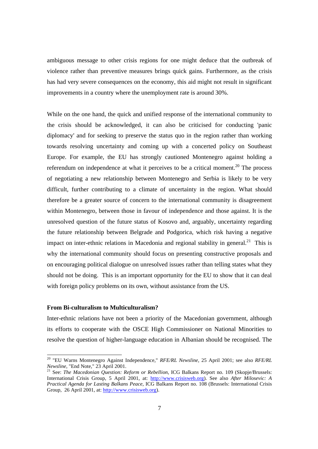ambiguous message to other crisis regions for one might deduce that the outbreak of violence rather than preventive measures brings quick gains. Furthermore, as the crisis has had very severe consequences on the economy, this aid might not result in significant improvements in a country where the unemployment rate is around 30%.

While on the one hand, the quick and unified response of the international community to the crisis should be acknowledged, it can also be criticised for conducting 'panic diplomacy' and for seeking to preserve the status quo in the region rather than working towards resolving uncertainty and coming up with a concerted policy on Southeast Europe. For example, the EU has strongly cautioned Montenegro against holding a referendum on independence at what it perceives to be a critical moment.<sup>20</sup> The process of negotiating a new relationship between Montenegro and Serbia is likely to be very difficult, further contributing to a climate of uncertainty in the region. What should therefore be a greater source of concern to the international community is disagreement within Montenegro, between those in favour of independence and those against. It is the unresolved question of the future status of Kosovo and, arguably, uncertainty regarding the future relationship between Belgrade and Podgorica, which risk having a negative impact on inter-ethnic relations in Macedonia and regional stability in general.<sup>21</sup> This is why the international community should focus on presenting constructive proposals and on encouraging political dialogue on unresolved issues rather than telling states what they should not be doing. This is an important opportunity for the EU to show that it can deal with foreign policy problems on its own, without assistance from the US.

### **From Bi-culturalism to Multiculturalism?**

-

Inter-ethnic relations have not been a priority of the Macedonian government, although its efforts to cooperate with the OSCE High Commissioner on National Minorities to resolve the question of higher-language education in Albanian should be recognised. The

<sup>20</sup> "EU Warns Montenegro Against Independence," *RFE/RL Newsline*, 25 April 2001; see also *RFE/RL Newsline*, "End Note," 23 April 2001.

<sup>&</sup>lt;sup>21</sup> See: *The Macedonian Question: Reform or Rebellion*, ICG Balkans Report no. 109 (Skopje/Brussels: International Crisis Group, 5 April 2001, at: http://www.crisisweb.org). See also *After Milosevic: A Practical Agenda for Lasting Balkans Peace*, ICG Balkans Report no. 108 (Brussels: International Crisis Group, 26 April 2001, at: http://www.crisisweb.org).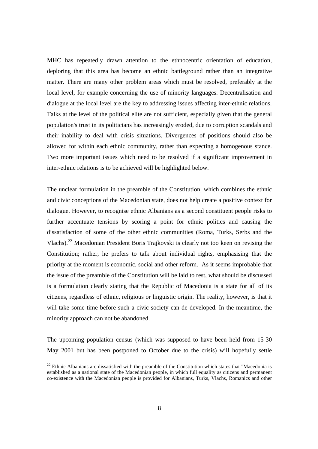MHC has repeatedly drawn attention to the ethnocentric orientation of education, deploring that this area has become an ethnic battleground rather than an integrative matter. There are many other problem areas which must be resolved, preferably at the local level, for example concerning the use of minority languages. Decentralisation and dialogue at the local level are the key to addressing issues affecting inter-ethnic relations. Talks at the level of the political elite are not sufficient, especially given that the general population's trust in its politicians has increasingly eroded, due to corruption scandals and their inability to deal with crisis situations. Divergences of positions should also be allowed for within each ethnic community, rather than expecting a homogenous stance. Two more important issues which need to be resolved if a significant improvement in inter-ethnic relations is to be achieved will be highlighted below.

The unclear formulation in the preamble of the Constitution, which combines the ethnic and civic conceptions of the Macedonian state, does not help create a positive context for dialogue. However, to recognise ethnic Albanians as a second constituent people risks to further accentuate tensions by scoring a point for ethnic politics and causing the dissatisfaction of some of the other ethnic communities (Roma, Turks, Serbs and the Vlachs).<sup>22</sup> Macedonian President Boris Trajkovski is clearly not too keen on revising the Constitution; rather, he prefers to talk about individual rights, emphasising that the priority at the moment is economic, social and other reform. As it seems improbable that the issue of the preamble of the Constitution will be laid to rest, what should be discussed is a formulation clearly stating that the Republic of Macedonia is a state for all of its citizens, regardless of ethnic, religious or linguistic origin. The reality, however, is that it will take some time before such a civic society can de developed. In the meantime, the minority approach can not be abandoned.

The upcoming population census (which was supposed to have been held from 15-30 May 2001 but has been postponed to October due to the crisis) will hopefully settle

1

 $22$  Ethnic Albanians are dissatisfied with the preamble of the Constitution which states that "Macedonia is established as a national state of the Macedonian people, in which full equality as citizens and permanent co-existence with the Macedonian people is provided for Albanians, Turks, Vlachs, Romanics and other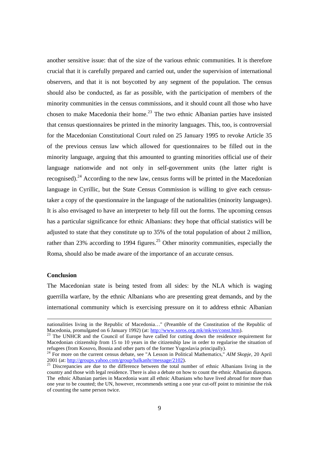another sensitive issue: that of the size of the various ethnic communities. It is therefore crucial that it is carefully prepared and carried out, under the supervision of international observers, and that it is not boycotted by any segment of the population. The census should also be conducted, as far as possible, with the participation of members of the minority communities in the census commissions, and it should count all those who have chosen to make Macedonia their home.<sup>23</sup> The two ethnic Albanian parties have insisted that census questionnaires be printed in the minority languages. This, too, is controversial for the Macedonian Constitutional Court ruled on 25 January 1995 to revoke Article 35 of the previous census law which allowed for questionnaires to be filled out in the minority language, arguing that this amounted to granting minorities official use of their language nationwide and not only in self-government units (the latter right is recognised).<sup>24</sup> According to the new law, census forms will be printed in the Macedonian language in Cyrillic, but the State Census Commission is willing to give each censustaker a copy of the questionnaire in the language of the nationalities (minority languages). It is also envisaged to have an interpreter to help fill out the forms. The upcoming census has a particular significance for ethnic Albanians: they hope that official statistics will be adjusted to state that they constitute up to 35% of the total population of about 2 million, rather than 23% according to 1994 figures.<sup>25</sup> Other minority communities, especially the Roma, should also be made aware of the importance of an accurate census.

#### **Conclusion**

l

The Macedonian state is being tested from all sides: by the NLA which is waging guerrilla warfare, by the ethnic Albanians who are presenting great demands, and by the international community which is exercising pressure on it to address ethnic Albanian

nationalities living in the Republic of Macedonia…" (Preamble of the Constitution of the Republic of Macedonia, promulgated on 6 January 1992) (at: http://www.soros.org.mk/mk/en/const.htm).

<sup>&</sup>lt;sup>23</sup> The UNHCR and the Council of Europe have called for cutting down the residence requirement for Macedonian citizenship from 15 to 10 years in the citizenship law in order to regularise the situation of refugees (from Kosovo, Bosnia and other parts of the former Yugoslavia principally).

<sup>24</sup> For more on the current census debate, see "A Lesson in Political Mathematics," *AIM Skopje*, 20 April 2001 (at: http://groups.yahoo.com/group/balkanhr/message/2102).

<sup>&</sup>lt;sup>25</sup> Discrepancies are due to the difference between the total number of ethnic Albanians living in the country and those with legal residence. There is also a debate on how to count the ethnic Albanian diaspora. The ethnic Albanian parties in Macedonia want all ethnic Albanians who have lived abroad for more than one year to be counted; the UN, however, recommends setting a one year cut-off point to minimise the risk of counting the same person twice.